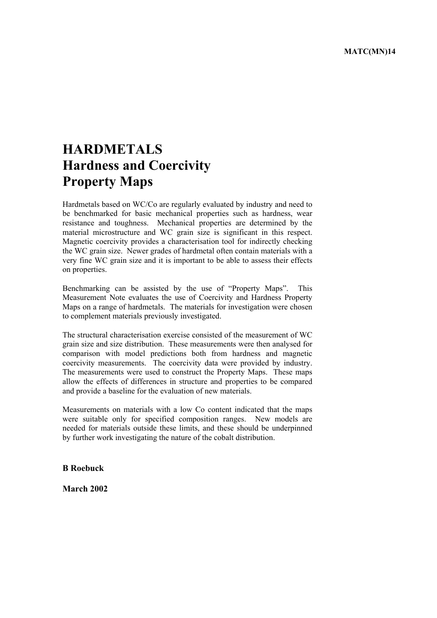# **HARDMETALS Hardness and Coercivity Property Maps**

Hardmetals based on WC/Co are regularly evaluated by industry and need to be benchmarked for basic mechanical properties such as hardness, wear resistance and toughness. Mechanical properties are determined by the material microstructure and WC grain size is significant in this respect. Magnetic coercivity provides a characterisation tool for indirectly checking the WC grain size. Newer grades of hardmetal often contain materials with a very fine WC grain size and it is important to be able to assess their effects on properties.

Benchmarking can be assisted by the use of "Property Maps". This Measurement Note evaluates the use of Coercivity and Hardness Property Maps on a range of hardmetals. The materials for investigation were chosen to complement materials previously investigated.

The structural characterisation exercise consisted of the measurement of WC grain size and size distribution. These measurements were then analysed for comparison with model predictions both from hardness and magnetic coercivity measurements. The coercivity data were provided by industry. The measurements were used to construct the Property Maps. These maps allow the effects of differences in structure and properties to be compared and provide a baseline for the evaluation of new materials.

Measurements on materials with a low Co content indicated that the maps were suitable only for specified composition ranges. New models are needed for materials outside these limits, and these should be underpinned by further work investigating the nature of the cobalt distribution.

**B Roebuck** 

**March 2002**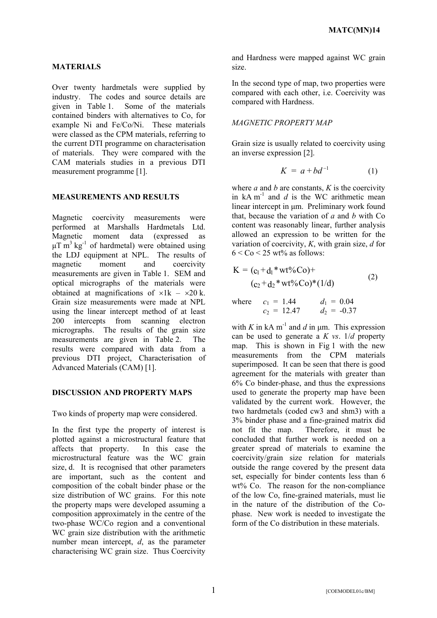## **MATERIALS**

Over twenty hardmetals were supplied by industry. The codes and source details are given in Table 1. Some of the materials contained binders with alternatives to Co, for example Ni and Fe/Co/Ni. These materials were classed as the CPM materials, referring to the current DTI programme on characterisation of materials. They were compared with the CAM materials studies in a previous DTI measurement programme [1].

### **MEASUREMENTS AND RESULTS**

Magnetic coercivity measurements were performed at Marshalls Hardmetals Ltd. Magnetic moment data (expressed as  $\mu$ T m<sup>3</sup> kg<sup>-1</sup> of hardmetal) were obtained using the LDJ equipment at NPL. The results of magnetic moment and coercivity measurements are given in Table 1. SEM and optical micrographs of the materials were obtained at magnifications of  $\times 1k - \times 20k$ . Grain size measurements were made at NPL using the linear intercept method of at least 200 intercepts from scanning electron micrographs. The results of the grain size measurements are given in Table 2. The results were compared with data from a previous DTI project, Characterisation of Advanced Materials (CAM) [1].

#### **DISCUSSION AND PROPERTY MAPS**

Two kinds of property map were considered.

In the first type the property of interest is plotted against a microstructural feature that affects that property. In this case the microstructural feature was the WC grain size, d. It is recognised that other parameters are important, such as the content and composition of the cobalt binder phase or the size distribution of WC grains. For this note the property maps were developed assuming a composition approximately in the centre of the two-phase WC/Co region and a conventional WC grain size distribution with the arithmetic number mean intercept, *d*, as the parameter characterising WC grain size. Thus Coercivity

and Hardness were mapped against WC grain size.

In the second type of map, two properties were compared with each other, i.e. Coercivity was compared with Hardness.

## *MAGNETIC PROPERTY MAP*

Grain size is usually related to coercivity using an inverse expression [2].

$$
K = a + bd^{-1} \tag{1}
$$

where  $a$  and  $b$  are constants,  $K$  is the coercivity in  $kA m<sup>-1</sup>$  and *d* is the WC arithmetic mean linear intercept in um. Preliminary work found that, because the variation of *a* and *b* with Co content was reasonably linear, further analysis allowed an expression to be written for the variation of coercivity, *K*, with grain size, *d* for  $6 <$  Co  $<$  25 wt% as follows:

$$
K = (c_1 + d_1 * wt\%Co) +
$$
  
(c<sub>2</sub> + d<sub>2</sub> \* wt\%Co)\* (1/d) (2)

where 
$$
c_1 = 1.44
$$
  $d_1 = 0.04$   
\n $c_2 = 12.47$   $d_2 = -0.37$ 

with *K* in kA m<sup>-1</sup> and *d* in um. This expression can be used to generate a *K vs*. 1/*d* property map. This is shown in Fig 1 with the new measurements from the CPM materials superimposed. It can be seen that there is good agreement for the materials with greater than 6% Co binder-phase, and thus the expressions used to generate the property map have been validated by the current work. However, the two hardmetals (coded cw3 and shm3) with a 3% binder phase and a fine-grained matrix did not fit the map. Therefore, it must be concluded that further work is needed on a greater spread of materials to examine the coercivity/grain size relation for materials outside the range covered by the present data set, especially for binder contents less than 6 wt% Co. The reason for the non-compliance of the low Co, fine-grained materials, must lie in the nature of the distribution of the Cophase. New work is needed to investigate the form of the Co distribution in these materials.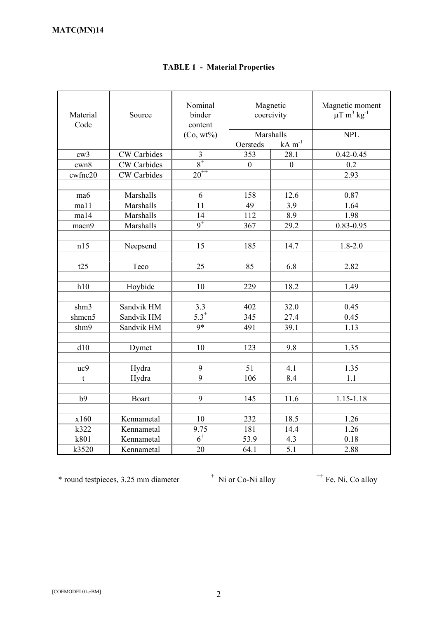| Material<br>Code | Source             | Nominal<br>binder<br>content<br>$(Co, wt\%)$ | Oersteds     | Magnetic<br>coercivity<br>Marshalls<br>$kA$ m <sup>-1</sup> | Magnetic moment<br>$\mu$ T m <sup>3</sup> kg <sup>-1</sup><br><b>NPL</b> |
|------------------|--------------------|----------------------------------------------|--------------|-------------------------------------------------------------|--------------------------------------------------------------------------|
| cw3              | <b>CW</b> Carbides | $\overline{\mathbf{3}}$                      | 353          | 28.1                                                        | $0.42 - 0.45$                                                            |
| cwn8             | <b>CW</b> Carbides | $\frac{1}{8}$                                | $\mathbf{0}$ | $\mathbf{0}$                                                | 0.2                                                                      |
| cwfnc20          | <b>CW</b> Carbides | $20^{++}$                                    |              |                                                             | 2.93                                                                     |
|                  |                    |                                              |              |                                                             |                                                                          |
| ma6              | Marshalls          | 6                                            | 158          | 12.6                                                        | 0.87                                                                     |
| ma11             | Marshalls          | 11                                           | 49           | 3.9                                                         | 1.64                                                                     |
| ma14             | Marshalls          | 14                                           | 112          | 8.9                                                         | 1.98                                                                     |
| macn9            | Marshalls          | $\overline{9}^+$                             | 367          | 29.2                                                        | $0.83 - 0.95$                                                            |
|                  |                    |                                              |              |                                                             |                                                                          |
| n15              | Neepsend           | 15                                           | 185          | 14.7                                                        | $1.8 - 2.0$                                                              |
|                  |                    |                                              |              |                                                             |                                                                          |
| t25              | Teco               | 25                                           | 85           | 6.8                                                         | 2.82                                                                     |
|                  |                    |                                              |              |                                                             |                                                                          |
| h10              | Hoybide            | 10                                           | 229          | 18.2                                                        | 1.49                                                                     |
|                  |                    |                                              |              |                                                             |                                                                          |
| shm3             | Sandvik HM         | 3.3                                          | 402          | 32.0                                                        | 0.45                                                                     |
| shmcn5           | Sandvik HM         | $\overline{5.3}^{+}$                         | 345          | 27.4                                                        | 0.45                                                                     |
| shm9             | Sandvik HM         | $9*$                                         | 491          | 39.1                                                        | 1.13                                                                     |
|                  |                    |                                              |              |                                                             |                                                                          |
| d10              | Dymet              | 10                                           | 123          | 9.8                                                         | 1.35                                                                     |
|                  |                    |                                              |              |                                                             |                                                                          |
| uc9              | Hydra              | 9                                            | 51           | 4.1                                                         | 1.35                                                                     |
| t                | Hydra              | 9                                            | 106          | 8.4                                                         | 1.1                                                                      |
|                  |                    |                                              |              |                                                             |                                                                          |
| b9               | Boart              | 9                                            | 145          | 11.6                                                        | $1.15 - 1.18$                                                            |
|                  |                    |                                              |              |                                                             |                                                                          |
| x160             | Kennametal         | 10                                           | 232          | 18.5                                                        | 1.26                                                                     |
| k322             | Kennametal         | 9.75                                         | 181          | 14.4                                                        | 1.26                                                                     |
| k801             | Kennametal         | $\overline{6}$ <sup>+</sup>                  | 53.9         | 4.3                                                         | 0.18                                                                     |
| k3520            | Kennametal         | 20                                           | 64.1         | 5.1                                                         | 2.88                                                                     |

# **TABLE 1 - Material Properties**

\* round testpieces, 3.25 mm diameter <sup>+</sup>

 $+$ Ni or Co-Ni alloy  $+$  Fe, Ni, Co alloy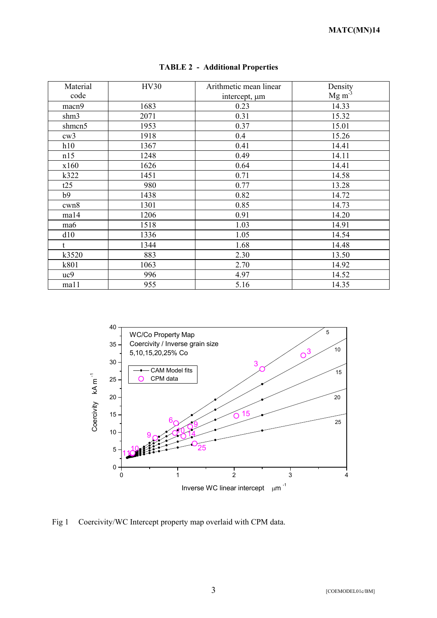| Material | <b>HV30</b> | Arithmetic mean linear | Density           |
|----------|-------------|------------------------|-------------------|
| code     |             | intercept, $\mu$ m     | Mg m <sup>3</sup> |
| macn9    | 1683        | 0.23                   | 14.33             |
| shm3     | 2071        | 0.31                   | 15.32             |
| shmcn5   | 1953        | 0.37                   | 15.01             |
| cw3      | 1918        | 0.4                    | 15.26             |
| h10      | 1367        | 0.41                   | 14.41             |
| n15      | 1248        | 0.49                   | 14.11             |
| x160     | 1626        | 0.64                   | 14.41             |
| k322     | 1451        | 0.71                   | 14.58             |
| t25      | 980         | 0.77                   | 13.28             |
| b9       | 1438        | 0.82                   | 14.72             |
| cwn8     | 1301        | 0.85                   | 14.73             |
| ma14     | 1206        | 0.91                   | 14.20             |
| ma6      | 1518        | 1.03                   | 14.91             |
| d10      | 1336        | 1.05                   | 14.54             |
| t.       | 1344        | 1.68                   | 14.48             |
| k3520    | 883         | 2.30                   | 13.50             |
| k801     | 1063        | 2.70                   | 14.92             |
| uc9      | 996         | 4.97                   | 14.52             |
| ma11     | 955         | 5.16                   | 14.35             |

# **TABLE 2 - Additional Properties**



Fig 1 Coercivity/WC Intercept property map overlaid with CPM data.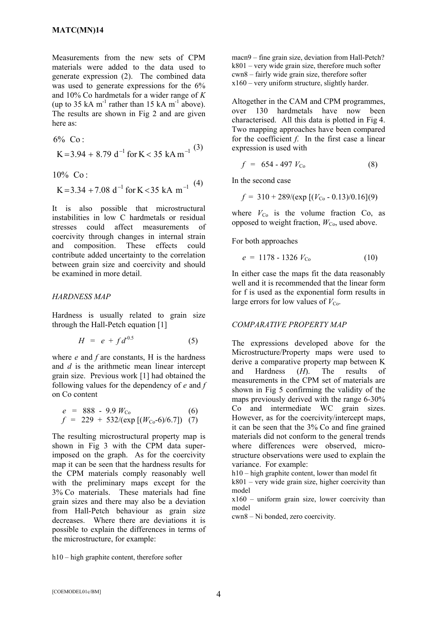Measurements from the new sets of CPM materials were added to the data used to generate expression (2). The combined data was used to generate expressions for the 6% and 10% Co hardmetals for a wider range of *K* (up to 35 kA m<sup>-1</sup> rather than 15 kA m<sup>-1</sup> above). The results are shown in Fig 2 and are given here as:

$$
6\% \text{ Co:}
$$
  
K=3.94 + 8.79 d<sup>-1</sup> for K < 35 kA m<sup>-1</sup> (3)

$$
10\% \ \ Co:
$$

$$
K = 3.34 + 7.08 d^{-1} for K < 35 kA m^{-1}
$$
 (4)

It is also possible that microstructural instabilities in low C hardmetals or residual stresses could affect measurements of coercivity through changes in internal strain and composition. These effects could contribute added uncertainty to the correlation between grain size and coercivity and should be examined in more detail.

#### *HARDNESS MAP*

Hardness is usually related to grain size through the Hall-Petch equation [1]

$$
H = e + f d^{0.5} \tag{5}
$$

where *e* and *f* are constants, H is the hardness and *d* is the arithmetic mean linear intercept grain size. Previous work [1] had obtained the following values for the dependency of *e* and *f*  on Co content

$$
e = 888 - 9.9 W_{\text{Co}} \tag{6}
$$
  

$$
f = 229 + 532/(\exp [(W_{\text{Co}}-6)/6.7]) \tag{7}
$$

The resulting microstructural property map is shown in Fig 3 with the CPM data superimposed on the graph. As for the coercivity map it can be seen that the hardness results for the CPM materials comply reasonably well with the preliminary maps except for the 3% Co materials. These materials had fine grain sizes and there may also be a deviation from Hall-Petch behaviour as grain size decreases. Where there are deviations it is possible to explain the differences in terms of the microstructure, for example:

h10 – high graphite content, therefore softer

macn9 – fine grain size, deviation from Hall-Petch?  $k801$  – very wide grain size, therefore much softer cwn8 – fairly wide grain size, therefore softer x160 – very uniform structure, slightly harder.

Altogether in the CAM and CPM programmes, over 130 hardmetals have now been characterised. All this data is plotted in Fig 4. Two mapping approaches have been compared for the coefficient *f*. In the first case a linear expression is used with

$$
f = 654 - 497 V_{\text{Co}} \tag{8}
$$

In the second case

$$
f = 310 + \frac{289}{\text{(exp [}(V_{\text{Co}} - 0.13)/0.16](9)}
$$

where  $V_{\text{Co}}$  is the volume fraction Co, as opposed to weight fraction,  $W_{\text{Co}}$ , used above.

For both approaches

$$
e = 1178 - 1326 V_{\text{Co}} \tag{10}
$$

In either case the maps fit the data reasonably well and it is recommended that the linear form for f is used as the exponential form results in large errors for low values of  $V_{\text{Co}}$ .

#### *COMPARATIVE PROPERTY MAP*

The expressions developed above for the Microstructure/Property maps were used to derive a comparative property map between K and Hardness (*H*). The results of measurements in the CPM set of materials are shown in Fig 5 confirming the validity of the maps previously derived with the range 6-30% Co and intermediate WC grain sizes. However, as for the coercivity/intercept maps, it can be seen that the 3% Co and fine grained materials did not conform to the general trends where differences were observed, microstructure observations were used to explain the variance. For example:

h10 – high graphite content, lower than model fit

 $k801$  – very wide grain size, higher coercivity than model

 $x160$  – uniform grain size, lower coercivity than model

cwn8 – Ni bonded, zero coercivity.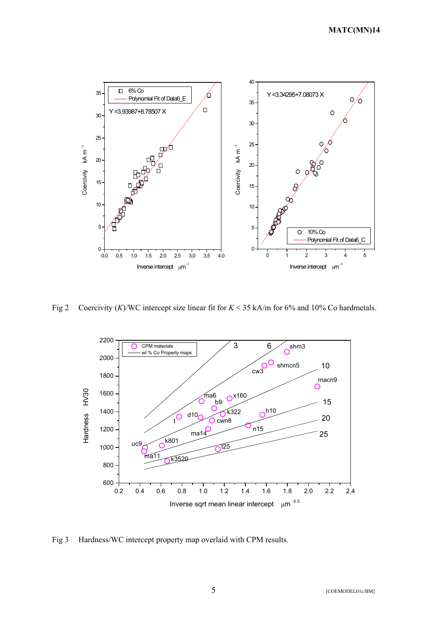

Fig 2 Coercivity (*K*)/WC intercept size linear fit for *K* < 35 kA/m for 6% and 10% Co hardmetals.



Fig 3 Hardness/WC intercept property map overlaid with CPM results.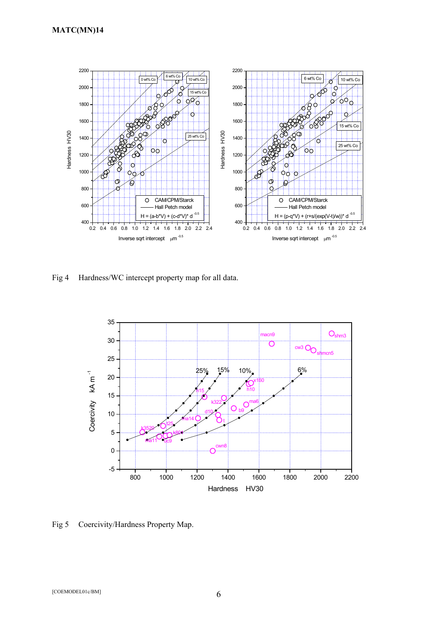

Fig 4 Hardness/WC intercept property map for all data.



Fig 5 Coercivity/Hardness Property Map.